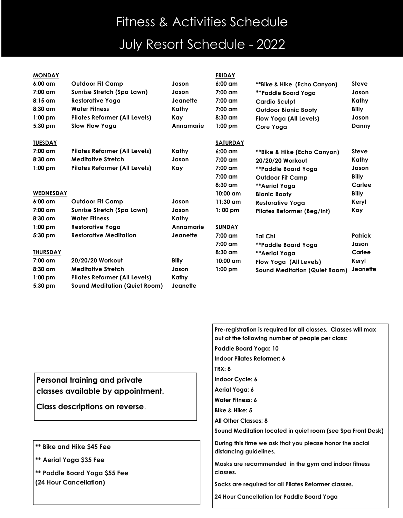## Fitness & Activities Schedule July Resort Schedule - 2022

| <b>MONDAY</b>     |                                      |              | <b>FRIDAY</b>      |                                      |                |
|-------------------|--------------------------------------|--------------|--------------------|--------------------------------------|----------------|
| $6:00 \text{ cm}$ | <b>Outdoor Fit Camp</b>              | Jason        | $6:00$ am          | **Bike & Hike (Echo Canyon)          | <b>Steve</b>   |
| $7:00$ am         | Sunrise Stretch (Spa Lawn)           | Jason        | $7:00$ am          | **Paddle Board Yoaa                  | Jason          |
| $8:15$ am         | <b>Restorative Yoga</b>              | Jeanette     | $7:00$ am          | <b>Cardio Sculpt</b>                 | Kathy          |
| $8:30$ am         | <b>Water Fitness</b>                 | Kathy        | 7:00 am            | <b>Outdoor Bionic Booty</b>          | <b>Billy</b>   |
| $1:00$ pm         | <b>Pilates Reformer (All Levels)</b> | Kay          | $8:30$ am          | Flow Yoga (All Levels)               | Jason          |
| 5:30 pm           | Slow Flow Yoga                       | Annamarie    | $1:00$ pm          | Core Yoga                            | Danny          |
| <b>TUESDAY</b>    |                                      |              | <b>SATURDAY</b>    |                                      |                |
| $7:00$ am         | <b>Pilates Reformer (All Levels)</b> | Kathy        | $6:00 \text{ cm}$  | **Bike & Hike (Echo Canyon)          | <b>Steve</b>   |
| $8:30$ am         | <b>Meditative Stretch</b>            | Jason        | 7:00 am            | 20/20/20 Workout                     | Kathy          |
| $1:00$ pm         | <b>Pilates Reformer (All Levels)</b> | Kay          | $7:00$ am          | **Paddle Board Yoga                  | Jason          |
|                   |                                      |              | $7:00$ am          | <b>Outdoor Fit Camp</b>              | <b>Billy</b>   |
|                   |                                      |              | $8:30$ am          | **Aerial Yoga                        | Carlee         |
| <b>WEDNESDAY</b>  |                                      |              | $10:00$ am         | <b>Bionic Booty</b>                  | <b>Billy</b>   |
| 6:00 am           | <b>Outdoor Fit Camp</b>              | Jason        | $11:30$ am         | <b>Restorative Yoga</b>              | Keryl          |
| $7:00$ am         | <b>Sunrise Stretch (Spa Lawn)</b>    | Jason        | $1:00$ pm          | Pilates Reformer (Beg/Int)           | Kay            |
| $8:30$ am         | <b>Water Fitness</b>                 | Kathy        |                    |                                      |                |
| $1:00$ pm         | <b>Restorative Yoga</b>              | Annamarie    | <b>SUNDAY</b>      |                                      |                |
| $5:30$ pm         | <b>Restorative Meditation</b>        | Jeanette     | $7:00$ am          | Tai Chi                              | <b>Patrick</b> |
|                   |                                      |              | $7:00$ am          | **Paddle Board Yoga                  | Jason          |
| <b>THURSDAY</b>   |                                      |              | $8:30$ am          | **Aerial Yoga                        | Carlee         |
| $7:00$ am         | 20/20/20 Workout                     | <b>Billy</b> | $10:00 \text{ cm}$ | Flow Yoga (All Levels)               | Keryl          |
| 8:30 am           | <b>Meditative Stretch</b>            | Jason        | $1:00$ pm          | <b>Sound Meditation (Quiet Room)</b> | Jeanette       |
| $1:00$ pm         | <b>Pilates Reformer (All Levels)</b> | Kathy        |                    |                                      |                |
| 5:30 pm           | <b>Sound Meditation (Quiet Room)</b> | Jeanette     |                    |                                      |                |

**Personal training and private classes available by appointment.** 

**Class descriptions on reverse**.

- **\*\* Bike and Hike \$45 Fee**
- **\*\* Aerial Yoga \$35 Fee**
- **\*\* Paddle Board Yoga \$55 Fee (24 Hour Cancellation)**

**Pre-registration is required for all classes. Classes will max out at the following number of people per class:**

- **Paddle Board Yoga: 10 Indoor Pilates Reformer: 6**
- **TRX: 8**
- **Indoor Cycle: 6**
- **Aerial Yoga: 6**
- **Water Fitness: 6**
- **Bike & Hike: 5**
- **All Other Classes: 8**
- **Sound Meditation located in quiet room (see Spa Front Desk)**

**During this time we ask that you please honor the social distancing guidelines.**

**Masks are recommended in the gym and indoor fitness classes.**

**Socks are required for all Pilates Reformer classes.**

**24 Hour Cancellation for Paddle Board Yoga**